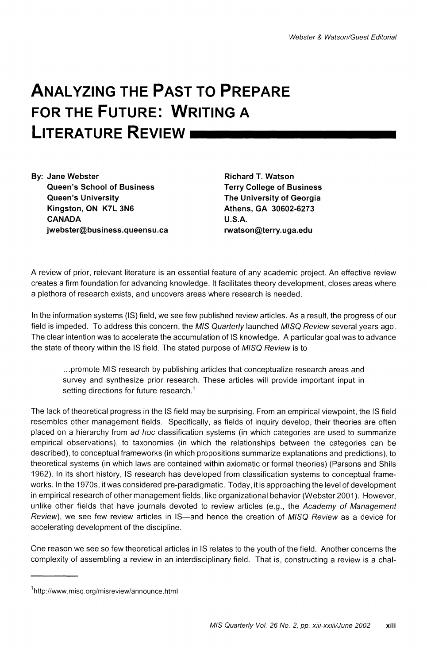# **ANALYZING THE PAST TO PREPARE FOR THE FUTURE: WRITING A LITERATURE REVIEW**

**By: Jane Webster Queen's School of Business Queen's University Kingston, ON K7L 3N6 CANADA jwebster@business.queensu.ca** 

**Richard T. Watson Terry College of Business The University of Georgia Athens, GA 30602-6273 U.S.A. rwatson@terry.uga.edu** 

**A review of prior, relevant literature is an essential feature of any academic project. An effective review creates a firm foundation for advancing knowledge. It facilitates theory development, closes areas where a plethora of research exists, and uncovers areas where research is needed.** 

**In the information systems (IS) field, we see few published review articles. As a result, the progress of our field is impeded. To address this concern, the MIS Quarterly launched MISQ Review several years ago. The clear intention was to accelerate the accumulation of IS knowledge. A particular goal was to advance the state of theory within the IS field. The stated purpose of MISQ Review is to** 

**...promote MIS research by publishing articles that conceptualize research areas and survey and synthesize prior research. These articles will provide important input in setting directions for future research.1** 

**The lack of theoretical progress in the IS field may be surprising. From an empirical viewpoint, the IS field resembles other management fields. Specifically, as fields of inquiry develop, their theories are often placed on a hierarchy from ad hoc classification systems (in which categories are used to summarize empirical observations), to taxonomies (in which the relationships between the categories can be described), to conceptual frameworks (in which propositions summarize explanations and predictions), to theoretical systems (in which laws are contained within axiomatic or formal theories) (Parsons and Shils 1962). In its short history, IS research has developed from classification systems to conceptual frameworks. In the 1970s, it was considered pre-paradigmatic. Today, it is approaching the level of development in empirical research of other management fields, like organizational behavior (Webster 2001). However, unlike other fields that have journals devoted to review articles (e.g., the Academy of Management**  Review), we see few review articles in IS—and hence the creation of MISQ Review as a device for **accelerating development of the discipline.** 

**One reason we see so few theoretical articles in IS relates to the youth of the field. Another concerns the complexity of assembling a review in an interdisciplinary field. That is, constructing a review is a chal-**

**<sup>1</sup>http://www.misq.org/misreview/announce.html**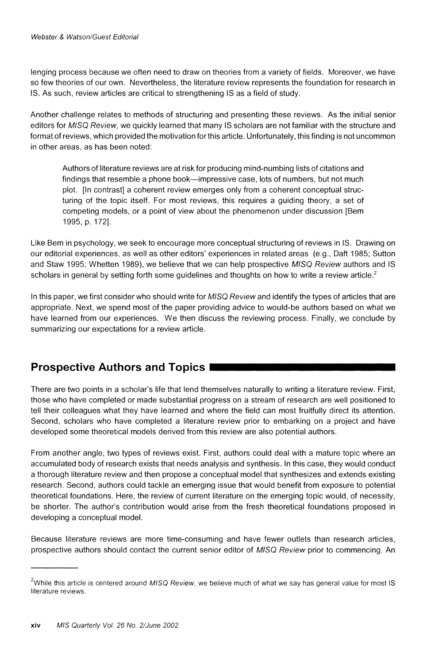**lenging process because we often need to draw on theories from a variety of fields. Moreover, we have so few theories of our own. Nevertheless, the literature review represents the foundation for research in IS. As such, review articles are critical to strengthening IS as a field of study.** 

**Another challenge relates to methods of structuring and presenting these reviews. As the initial senior editors for MISQ Review, we quickly learned that many IS scholars are not familiar with the structure and format of reviews, which provided the motivation for this article. Unfortunately, this finding is not uncommon in other areas, as has been noted:** 

**Authors of literature reviews are at risk for producing mind-numbing lists of citations and**  findings that resemble a phone book-impressive case, lots of numbers, but not much **plot. [In contrast] a coherent review emerges only from a coherent conceptual structuring of the topic itself. For most reviews, this requires a guiding theory, a set of competing models, or a point of view about the phenomenon under discussion [Bem 1995, p. 172].** 

**Like Bem in psychology, we seek to encourage more conceptual structuring of reviews in IS. Drawing on our editorial experiences, as well as other editors' experiences in related areas (e.g., Daft 1985; Sutton and Staw 1995; Whetten 1989), we believe that we can help prospective MISQ Review authors and IS scholars in general by setting forth some guidelines and thoughts on how to write a review article.2** 

**In this paper, we first consider who should write for MISQ Review and identify the types of articles that are appropriate. Next, we spend most of the paper providing advice to would-be authors based on what we have learned from our experiences. We then discuss the reviewing process. Finally, we conclude by summarizing our expectations for a review article.** 

## **Prospective Authors and Topics**

**There are two points in a scholar's life that lend themselves naturally to writing a literature review. First, those who have completed or made substantial progress on a stream of research are well positioned to tell their colleagues what they have learned and where the field can most fruitfully direct its attention. Second, scholars who have completed a literature review prior to embarking on a project and have developed some theoretical models derived from this review are also potential authors.** 

**From another angle, two types of reviews exist. First, authors could deal with a mature topic where an accumulated body of research exists that needs analysis and synthesis. In this case, they would conduct a thorough literature review and then propose a conceptual model that synthesizes and extends existing research. Second, authors could tackle an emerging issue that would benefit from exposure to potential theoretical foundations. Here, the review of current literature on the emerging topic would, of necessity, be shorter. The author's contribution would arise from the fresh theoretical foundations proposed in developing a conceptual model.** 

**Because literature reviews are more time-consuming and have fewer outlets than research articles, prospective authors should contact the current senior editor of MISQ Review prior to commencing. An** 

**<sup>2</sup>While this article is centered around MISQ Review, we believe much of what we say has general value for most IS literature reviews.**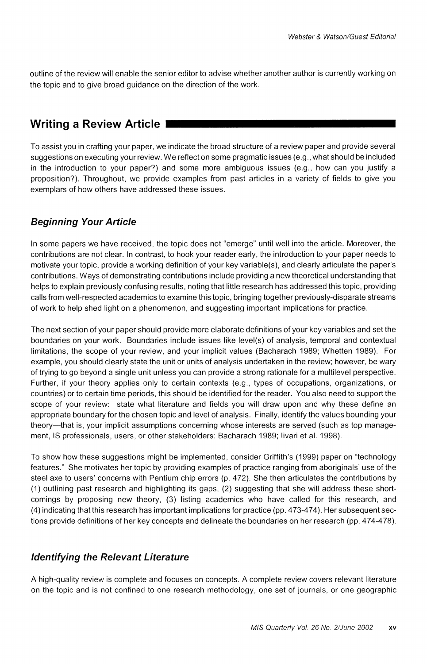**outline of the review will enable the senior editor to advise whether another author is currently working on the topic and to give broad guidance on the direction of the work.** 

# **Writing a Review Article**

**To assist you in crafting your paper, we indicate the broad structure of a review paper and provide several suggestions on executing your review. We reflect on some pragmatic issues (e.g., what should be included in the introduction to your paper?) and some more ambiguous issues (e.g., how can you justify a proposition?). Throughout, we provide examples from past articles in a variety of fields to give you exemplars of how others have addressed these issues.** 

## **Beginning Your Article**

**In some papers we have received, the topic does not "emerge" until well into the article. Moreover, the contributions are not clear. In contrast, to hook your reader early, the introduction to your paper needs to motivate your topic, provide a working definition of your key variable(s), and clearly articulate the paper's contributions. Ways of demonstrating contributions include providing a new theoretical understanding that helps to explain previously confusing results, noting that little research has addressed this topic, providing calls from well-respected academics to examine this topic, bringing together previously-disparate streams of work to help shed light on a phenomenon, and suggesting important implications for practice.** 

**The next section of your paper should provide more elaborate definitions of your key variables and set the boundaries on your work. Boundaries include issues like level(s) of analysis, temporal and contextual limitations, the scope of your review, and your implicit values (Bacharach 1989; Whetten 1989). For example, you should clearly state the unit or units of analysis undertaken in the review; however, be wary of trying to go beyond a single unit unless you can provide a strong rationale for a multilevel perspective. Further, if your theory applies only to certain contexts (e.g., types of occupations, organizations, or countries) or to certain time periods, this should be identified for the reader. You also need to support the scope of your review: state what literature and fields you will draw upon and why these define an appropriate boundary for the chosen topic and level of analysis. Finally, identify the values bounding your theory-that is, your implicit assumptions concerning whose interests are served (such as top management, IS professionals, users, or other stakeholders: Bacharach 1989; livari et al. 1998).** 

**To show how these suggestions might be implemented, consider Griffith's (1999) paper on "technology features." She motivates her topic by providing examples of practice ranging from aboriginals' use of the steel axe to users' concerns with Pentium chip errors (p. 472). She then articulates the contributions by (1) outlining past research and highlighting its gaps, (2) suggesting that she will address these shortcomings by proposing new theory, (3) listing academics who have called for this research, and (4) indicating that this research has important implications for practice (pp. 473-474). Her subsequent sections provide definitions of her key concepts and delineate the boundaries on her research (pp. 474-478).** 

## **Identifying the Relevant Literature**

**A high-quality review is complete and focuses on concepts. A complete review covers relevant literature on the topic and is not confined to one research methodology, one set of journals, or one geographic**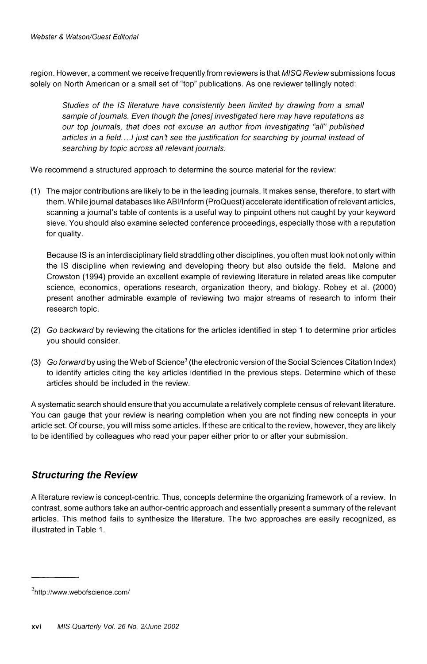**region. However, a comment we receive frequently from reviewers is that MISQ Review submissions focus solely on North American or a small set of "top" publications. As one reviewer tellingly noted:** 

**Studies of the IS literature have consistently been limited by drawing from a small sample of journals. Even though the [ones] investigated here may have reputations as our top journals, that does not excuse an author from investigating "all" published articles in a field..../ just can't see the justification for searching by journal instead of searching by topic across all relevant journals.** 

**We recommend a structured approach to determine the source material for the review:** 

**(1) The major contributions are likely to be in the leading journals. It makes sense, therefore, to start with them. While journal databases like ABI/Inform (ProQuest) accelerate identification of relevant articles, scanning a journal's table of contents is a useful way to pinpoint others not caught by your keyword sieve. You should also examine selected conference proceedings, especially those with a reputation for quality.** 

**Because IS is an interdisciplinary field straddling other disciplines, you often must look not only within the IS discipline when reviewing and developing theory but also outside the field. Malone and Crowston (1994) provide an excellent example of reviewing literature in related areas like computer science, economics, operations research, organization theory, and biology. Robey et al. (2000) present another admirable example of reviewing two major streams of research to inform their research topic.** 

- **(2) Go backward by reviewing the citations for the articles identified in step 1 to determine prior articles you should consider.**
- **(3) Go forward by using the Web of Science3 (the electronic version of the Social Sciences Citation Index) to identify articles citing the key articles identified in the previous steps. Determine which of these articles should be included in the review.**

**A systematic search should ensure that you accumulate a relatively complete census of relevant literature. You can gauge that your review is nearing completion when you are not finding new concepts in your article set. Of course, you will miss some articles. If these are critical to the review, however, they are likely to be identified by colleagues who read your paper either prior to or after your submission.** 

## **Structuring the Review**

**A literature review is concept-centric. Thus, concepts determine the organizing framework of a review. In contrast, some authors take an author-centric approach and essentially present a summary of the relevant articles. This method fails to synthesize the literature. The two approaches are easily recognized, as illustrated in Table 1.** 

**<sup>3</sup>http://www.webofscience .com/**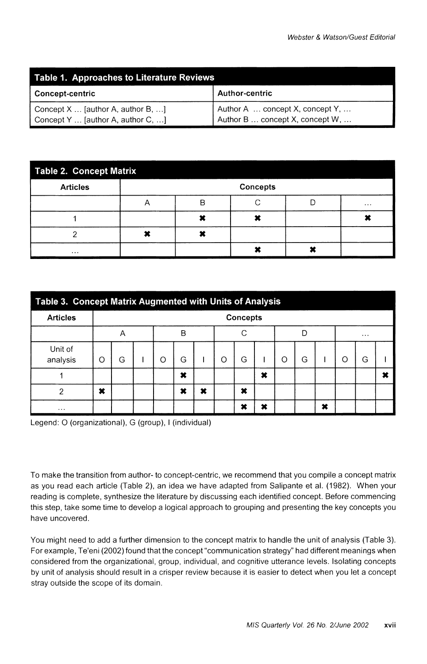| Table 1. Approaches to Literature Reviews |                                 |  |  |  |  |  |  |
|-------------------------------------------|---------------------------------|--|--|--|--|--|--|
| Concept-centric                           | <b>Author-centric</b>           |  |  |  |  |  |  |
| Concept $X$ [author A, author B, ]        | Author A  concept X, concept Y, |  |  |  |  |  |  |
| Concept Y  [author A, author C, ]         | Author B  concept X, concept W, |  |  |  |  |  |  |

| Table 2. Concept Matrix |                 |   |  |  |          |  |  |  |  |  |
|-------------------------|-----------------|---|--|--|----------|--|--|--|--|--|
| <b>Articles</b>         | <b>Concepts</b> |   |  |  |          |  |  |  |  |  |
|                         | 宀               | P |  |  | $\cdots$ |  |  |  |  |  |
|                         |                 |   |  |  |          |  |  |  |  |  |
| ◠                       |                 |   |  |  |          |  |  |  |  |  |
| $\cdots$                |                 |   |  |  |          |  |  |  |  |  |

| Table 3. Concept Matrix Augmented with Units of Analysis |                 |   |  |   |   |   |         |   |   |          |   |   |   |   |  |
|----------------------------------------------------------|-----------------|---|--|---|---|---|---------|---|---|----------|---|---|---|---|--|
| <b>Articles</b>                                          | <b>Concepts</b> |   |  |   |   |   |         |   |   |          |   |   |   |   |  |
|                                                          | B<br>Α          |   |  |   | C |   | Г       |   |   | $\cdots$ |   |   |   |   |  |
| Unit of<br>analysis                                      | C               | G |  | Ω | G |   | $\circ$ | G |   | O        | G |   | O | G |  |
|                                                          |                 |   |  |   | × |   |         |   | × |          |   |   |   |   |  |
| ာ                                                        | ×               |   |  |   | × | × |         | × |   |          |   |   |   |   |  |
| $\cdots$                                                 |                 |   |  |   |   |   |         | × | × |          |   | × |   |   |  |

**Legend: O (organizational), G (group), I (individual)** 

**To make the transition from author- to concept-centric, we recommend that you compile a concept matrix as you read each article (Table 2), an idea we have adapted from Salipante et al. (1982). When your reading is complete, synthesize the literature by discussing each identified concept. Before commencing this step, take some time to develop a logical approach to grouping and presenting the key concepts you have uncovered.** 

**You might need to add a further dimension to the concept matrix to handle the unit of analysis (Table 3). For example, Te'eni (2002) found that the concept "communication strategy" had different meanings when considered from the organizational, group, individual, and cognitive utterance levels. Isolating concepts by unit of analysis should result in a crisper review because it is easier to detect when you let a concept stray outside the scope of its domain.**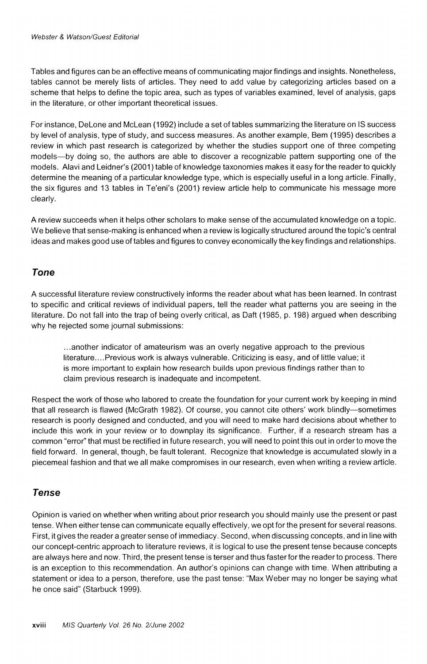**Tables and figures can be an effective means of communicating major findings and insights. Nonetheless, tables cannot be merely lists of articles. They need to add value by categorizing articles based on a scheme that helps to define the topic area, such as types of variables examined, level of analysis, gaps in the literature, or other important theoretical issues.** 

**For instance, DeLone and McLean (1992) include a set of tables summarizing the literature on IS success by level of analysis, type of study, and success measures. As another example, Bem (1995) describes a review in which past research is categorized by whether the studies support one of three competing models-by doing so, the authors are able to discover a recognizable pattern supporting one of the models. Alavi and Leidner's (2001) table of knowledge taxonomies makes it easy for the reader to quickly determine the meaning of a particular knowledge type, which is especially useful in a long article. Finally, the six figures and 13 tables in Te'eni's (2001) review article help to communicate his message more clearly.** 

**A review succeeds when it helps other scholars to make sense of the accumulated knowledge on a topic. We believe that sense-making is enhanced when a review is logically structured around the topic's central ideas and makes good use of tables and figures to convey economically the key findings and relationships.** 

## **Tone**

**A successful literature review constructively informs the reader about what has been learned. In contrast to specific and critical reviews of individual papers, tell the reader what patterns you are seeing in the literature. Do not fall into the trap of being overly critical, as Daft (1985, p. 198) argued when describing why he rejected some journal submissions:** 

**...another indicator of amateurism was an overly negative approach to the previous literature.... Previous work is always vulnerable. Criticizing is easy, and of little value; it is more important to explain how research builds upon previous findings rather than to claim previous research is inadequate and incompetent.** 

**Respect the work of those who labored to create the foundation for your current work by keeping in mind that all research is flawed (McGrath 1982). Of course, you cannot cite others' work blindly-sometimes research is poorly designed and conducted, and you will need to make hard decisions about whether to include this work in your review or to downplay its significance. Further, if a research stream has a common "error" that must be rectified in future research, you will need to point this out in order to move the field forward. In general, though, be fault tolerant. Recognize that knowledge is accumulated slowly in a piecemeal fashion and that we all make compromises in our research, even when writing a review article.** 

## **Tense**

**Opinion is varied on whether when writing about prior research you should mainly use the present or past tense. When either tense can communicate equally effectively, we opt for the present for several reasons. First, it gives the reader a greater sense of immediacy. Second, when discussing concepts, and in line with our concept-centric approach to literature reviews, it is logical to use the present tense because concepts are always here and now. Third, the present tense is terser and thus faster for the reader to process. There is an exception to this recommendation. An author's opinions can change with time. When attributing a statement or idea to a person, therefore, use the past tense: "Max Weber may no longer be saying what he once said" (Starbuck 1999).**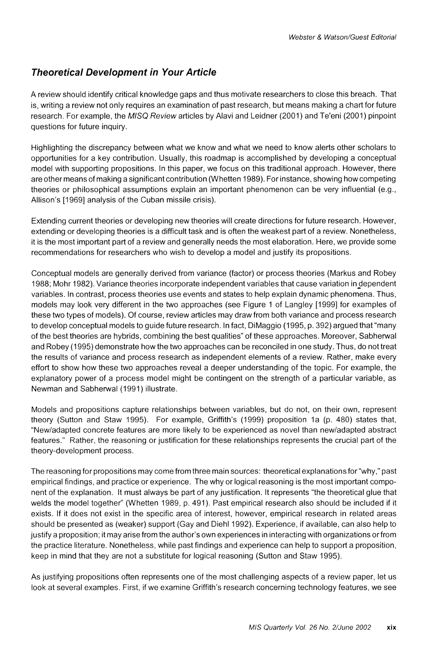## **Theoretical Development in Your Article**

**A review should identify critical knowledge gaps and thus motivate researchers to close this breach. That is, writing a review not only requires an examination of past research, but means making a chart for future research. For example, the MISQ Review articles by Alavi and Leidner (2001) and Te'eni (2001) pinpoint questions for future inquiry.** 

**Highlighting the discrepancy between what we know and what we need to know alerts other scholars to opportunities for a key contribution. Usually, this roadmap is accomplished by developing a conceptual model with supporting propositions. In this paper, we focus on this traditional approach. However, there are other means of making a significant contribution (Whetten 1989). For instance, showing how competing theories or philosophical assumptions explain an important phenomenon can be very influential (e.g., Allison's [1969] analysis of the Cuban missile crisis).** 

**Extending current theories or developing new theories will create directions for future research. However,**  extending or developing theories is a difficult task and is often the weakest part of a review. Nonetheless, **it is the most important part of a review and generally needs the most elaboration. Here, we provide some recommendations for researchers who wish to develop a model and justify its propositions.** 

**Conceptual models are generally derived from variance (factor) or process theories (Markus and Robey 1988; Mohr 1982). Variance theories incorporate independent variables that cause variation in dependent variables. In contrast, process theories use events and states to help explain dynamic phenomena. Thus, models may look very different in the two approaches (see Figure 1 of Langley [1999] for examples of these two types of models). Of course, review articles may draw from both variance and process research to develop conceptual models to guide future research. In fact, DiMaggio (1995, p. 392) argued that "many of the best theories are hybrids, combining the best qualities" of these approaches. Moreover, Sabherwal and Robey (1995) demonstrate how the two approaches can be reconciled in one study. Thus, do not treat the results of variance and process research as independent elements of a review. Rather, make every effort to show how these two approaches reveal a deeper understanding of the topic. For example, the explanatory power of a process model might be contingent on the strength of a particular variable, as Newman and Sabherwal (1991) illustrate.** 

**Models and propositions capture relationships between variables, but do not, on their own, represent theory (Sutton and Staw 1995). For example, Griffith's (1999) proposition la (p. 480) states that, "New/adapted concrete features are more likely to be experienced as novel than new/adapted abstract features." Rather, the reasoning or justification for these relationships represents the crucial part of the theory-development process.** 

**The reasoning for propositions may come from three main sources: theoretical explanations for "why," past empirical findings, and practice or experience. The why or logical reasoning is the most important component of the explanation. It must always be part of any justification. It represents "the theoretical glue that welds the model together" (Whetten 1989, p. 491). Past empirical research also should be included if it exists. If it does not exist in the specific area of interest, however, empirical research in related areas should be presented as (weaker) support (Gay and Diehl 1992). Experience, if available, can also help to justify a proposition; it may arise from the author's own experiences in interacting with organizations or from the practice literature. Nonetheless, while past findings and experience can help to support a proposition, keep in mind that they are not a substitute for logical reasoning (Sutton and Staw 1995).** 

**As justifying propositions often represents one of the most challenging aspects of a review paper, let us look at several examples. First, if we examine Griffith's research concerning technology features, we see**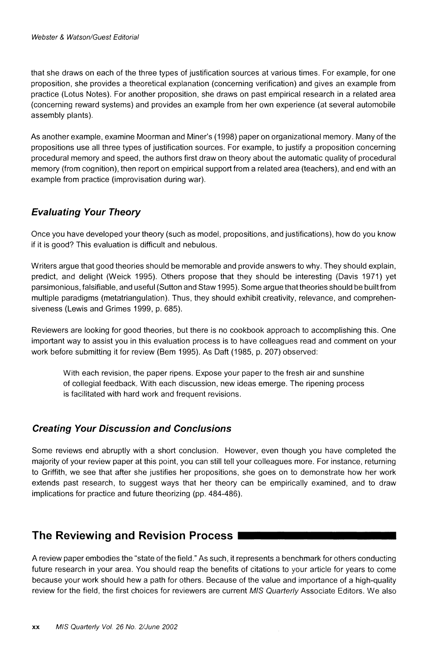**that she draws on each of the three types of justification sources at various times. For example, for one proposition, she provides a theoretical explanation (concerning verification) and gives an example from practice (Lotus Notes). For another proposition, she draws on past empirical research in a related area (concerning reward systems) and provides an example from her own experience (at several automobile assembly plants).** 

**As another example, examine Moorman and Miner's (1998) paper on organizational memory. Many of the propositions use all three types of justification sources. For example, to justify a proposition concerning procedural memory and speed, the authors first draw on theory about the automatic quality of procedural memory (from cognition), then report on empirical support from a related area (teachers), and end with an example from practice (improvisation during war).** 

## **Evaluating Your Theory**

**Once you have developed your theory (such as model, propositions, and justifications), how do you know if it is good? This evaluation is difficult and nebulous.** 

**Writers argue that good theories should be memorable and provide answers to why. They should explain, predict, and delight (Weick 1995). Others propose that they should be interesting (Davis 1971) yet parsimonious, falsifiable, and useful (Sutton and Staw 1995). Some argue that theories should be built from multiple paradigms (metatriangulation). Thus, they should exhibit creativity, relevance, and comprehensiveness (Lewis and Grimes 1999, p. 685).** 

**Reviewers are looking for good theories, but there is no cookbook approach to accomplishing this. One important way to assist you in this evaluation process is to have colleagues read and comment on your work before submitting it for review (Bem 1995). As Daft (1985, p. 207) observed:** 

**With each revision, the paper ripens. Expose your paper to the fresh air and sunshine of collegial feedback. With each discussion, new ideas emerge. The ripening process is facilitated with hard work and frequent revisions.** 

## **Creating Your Discussion and Conclusions**

**Some reviews end abruptly with a short conclusion. However, even though you have completed the majority of your review paper at this point, you can still tell your colleagues more. For instance, returning to Griffith, we see that after she justifies her propositions, she goes on to demonstrate how her work extends past research, to suggest ways that her theory can be empirically examined, and to draw implications for practice and future theorizing (pp. 484-486).** 

## **The Reviewing and Revision Process**

**A review paper embodies the "state of the field." As such, it represents a benchmark for others conducting future research in your area. You should reap the benefits of citations to your article for years to come because your work should hew a path for others. Because of the value and importance of a high-quality review for the field, the first choices for reviewers are current MIS Quarterly Associate Editors. We also**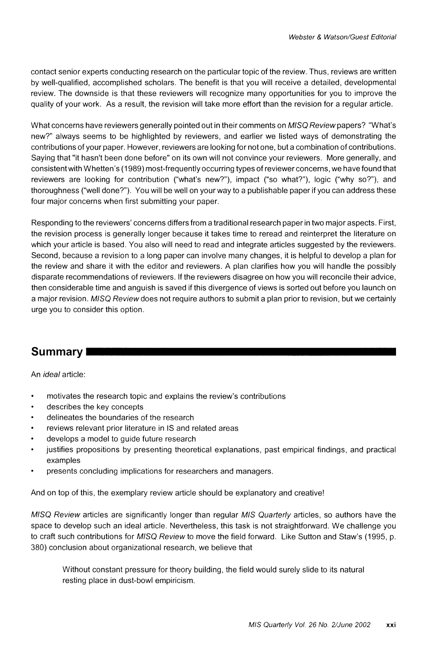**contact senior experts conducting research on the particular topic of the review. Thus, reviews are written by well-qualified, accomplished scholars. The benefit is that you will receive a detailed, developmental review. The downside is that these reviewers will recognize many opportunities for you to improve the quality of your work. As a result, the revision will take more effort than the revision for a regular article.** 

**What concerns have reviewers generally pointed out in their comments on MISQ Review papers? "What's new?" always seems to be highlighted by reviewers, and earlier we listed ways of demonstrating the contributions of your paper. However, reviewers are looking for not one, but a combination of contributions. Saying that "it hasn't been done before" on its own will not convince your reviewers. More generally, and consistent with Whetten's (1989) most-frequently occurring types of reviewer concerns, we have found that reviewers are looking for contribution ("what's new?"), impact ("so what?"), logic ("why so?"), and thoroughness ("well done?"). You will be well on your way to a publishable paper if you can address these four major concerns when first submitting your paper.** 

**Responding to the reviewers' concerns differs from a traditional research paper in two major aspects. First, the revision process is generally longer because it takes time to reread and reinterpret the literature on which your article is based. You also will need to read and integrate articles suggested by the reviewers. Second, because a revision to a long paper can involve many changes, it is helpful to develop a plan for the review and share it with the editor and reviewers. A plan clarifies how you will handle the possibly disparate recommendations of reviewers. If the reviewers disagree on how you will reconcile their advice, then considerable time and anguish is saved if this divergence of views is sorted out before you launch on a major revision. MISQ Review does not require authors to submit a plan prior to revision, but we certainly urge you to consider this option.** 

# **Summary**

**An ideal article:** 

- **\* motivates the research topic and explains the review's contributions**
- **\* describes the key concepts**
- **\* delineates the boundaries of the research**
- **\* reviews relevant prior literature in IS and related areas**
- **\* develops a model to guide future research**
- **\* justifies propositions by presenting theoretical explanations, past empirical findings, and practical examples**
- **\* presents concluding implications for researchers and managers.**

**And on top of this, the exemplary review article should be explanatory and creative!** 

**MISQ Review articles are significantly longer than regular MIS Quarterly articles, so authors have the space to develop such an ideal article. Nevertheless, this task is not straightforward. We challenge you to craft such contributions for MISQ Review to move the field forward. Like Sutton and Staw's (1995, p. 380) conclusion about organizational research, we believe that** 

**Without constant pressure for theory building, the field would surely slide to its natural resting place in dust-bowl empiricism.**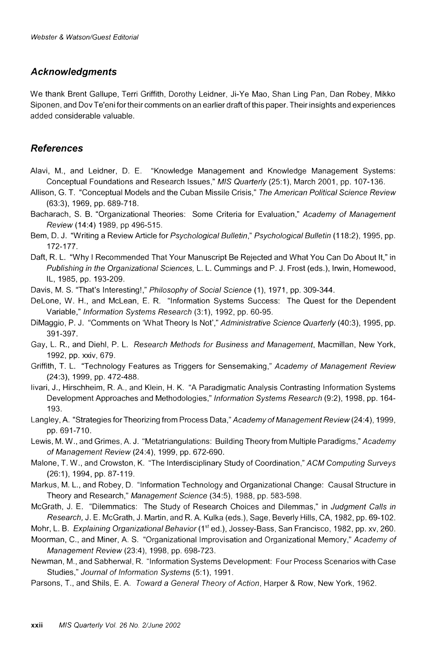#### **Acknowledgments**

**We thank Brent Gallupe, Terri Griffith, Dorothy Leidner, Ji-Ye Mao, Shan Ling Pan, Dan Robey, Mikko Siponen, and Dov Te'eni for their comments on an earlier draft of this paper. Their insights and experiences added considerable valuable.** 

#### **References**

- **Alavi, M., and Leidner, D. E. "Knowledge Management and Knowledge Management Systems: Conceptual Foundations and Research Issues," MIS Quarterly (25:1), March 2001, pp. 107-136.**
- **Allison, G. T. "Conceptual Models and the Cuban Missile Crisis," The American Political Science Review (63:3), 1969, pp. 689-718.**
- **Bacharach, S. B. "Organizational Theories: Some Criteria for Evaluation," Academy of Management Review (14:4) 1989, pp 496-515.**
- **Bem, D. J. "Writing a Review Article for Psychological Bulletin," Psychological Bulletin (118:2), 1995, pp. 172-177.**
- **Daft, R. L. "Why I Recommended That Your Manuscript Be Rejected and What You Can Do About It," in Publishing in the Organizational Sciences, L. L. Cummings and P. J. Frost (eds.), Irwin, Homewood, IL, 1985, pp. 193-209.**
- **Davis, M. S. "That's Interesting!," Philosophy of Social Science (1), 1971, pp. 309-344.**
- **DeLone, W. H., and McLean, E. R. "Information Systems Success: The Quest for the Dependent Variable," Information Systems Research (3:1), 1992, pp. 60-95.**
- **DiMaggio, P. J. "Comments on 'What Theory Is Not'," Administrative Science Quarterly (40:3), 1995, pp. 391-397.**
- **Gay, L. R., and Diehl, P. L. Research Methods for Business and Management, Macmillan, New York, 1992, pp. xxiv, 679.**
- **Griffith, T. L. "Technology Features as Triggers for Sensemaking," Academy of Management Review (24:3), 1999, pp. 472-488.**
- **livari, J., Hirschheim, R. A., and Klein, H. K. "A Paradigmatic Analysis Contrasting Information Systems Development Approaches and Methodologies," Information Systems Research (9:2), 1998, pp. 164- 193.**
- **Langley, A. "Strategies for Theorizing from Process Data," Academy of Management Review (24:4), 1999, pp. 691-710.**
- **Lewis, M. W., and Grimes, A. J. "Metatriangulations: Building Theory from Multiple Paradigms," Academy of Management Review (24:4), 1999, pp. 672-690.**
- **Malone, T. W., and Crowston, K. "The Interdisciplinary Study of Coordination," ACM Computing Surveys (26:1), 1994, pp. 87-119.**
- **Markus, M. L., and Robey, D. "Information Technology and Organizational Change: Causal Structure in Theory and Research," Management Science (34:5), 1988, pp. 583-598.**
- **McGrath, J. E. "Dilemmatics: The Study of Research Choices and Dilemmas," in Judgment Calls in Research, J. E. McGrath, J. Martin, and R. A. Kulka (eds.), Sage, Beverly Hills, CA, 1982, pp. 69-102.**
- **Mohr, L. B. Explaining Organizational Behavior (1st' ed.), Jossey-Bass, San Francisco, 1982, pp. xv, 260.**
- **Moorman, C., and Miner, A. S. "Organizational Improvisation and Organizational Memory," Academy of Management Review (23:4), 1998, pp. 698-723.**
- **Newman, M., and Sabherwal, R. "Information Systems Development: Four Process Scenarios with Case Studies," Journal of Information Systems (5:1), 1991.**
- **Parsons, T., and Shils, E. A. Toward a General Theory of Action, Harper & Row, New York, 1962.**